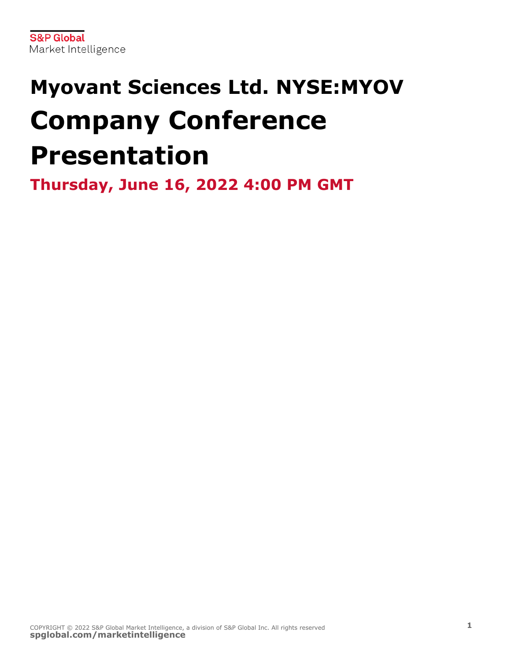# **Myovant Sciences Ltd. NYSE:MYOV Company Conference Presentation**

**Thursday, June 16, 2022 4:00 PM GMT**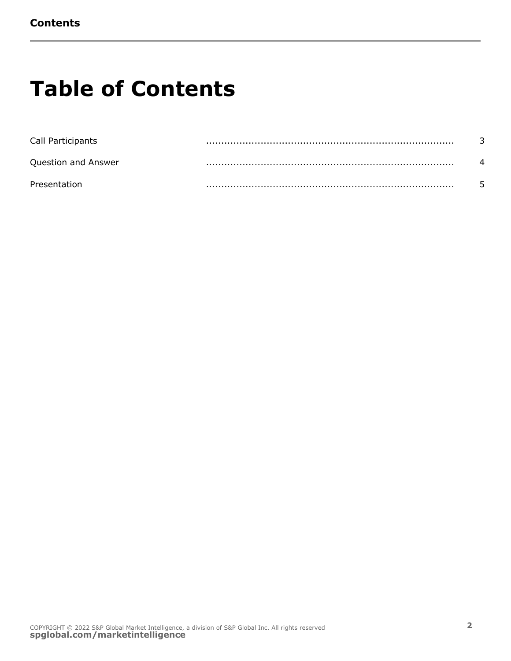### **Table of Contents**

| Call Participants   |  |
|---------------------|--|
| Question and Answer |  |
| Presentation        |  |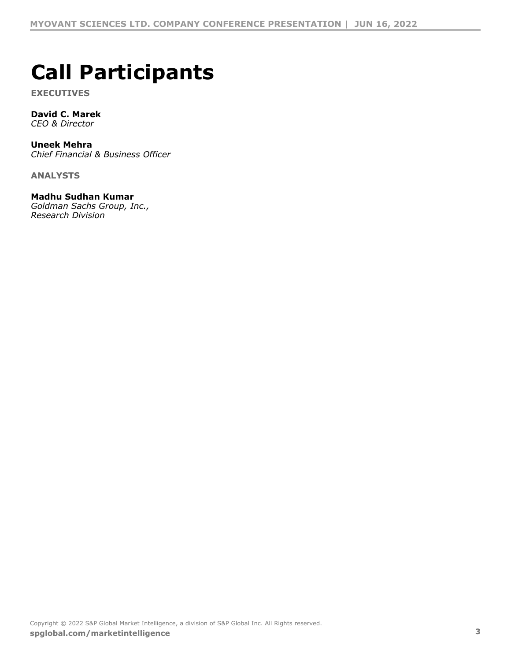#### <span id="page-2-0"></span>" & ) \* # \* " + )  $\mathbf{H}$

- $\mathcal{F}^{\text{max}}_{\text{max}}$
- 
- $+$  ( ( ' ( / & "
- "./0  $0.$ /"+ 10\$"&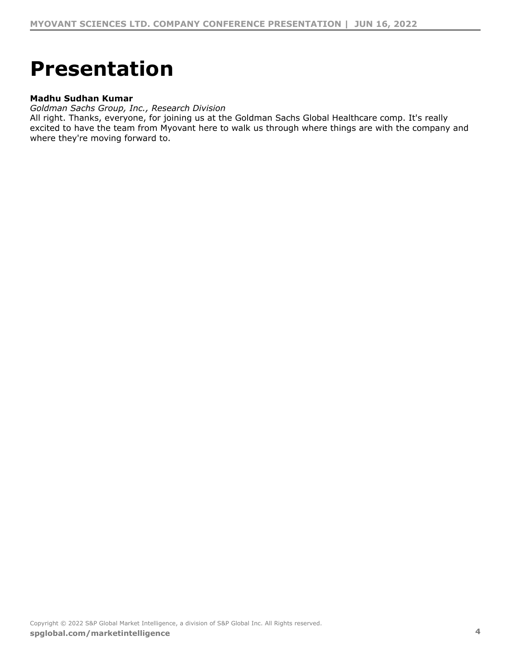## <span id="page-3-0"></span>& ( ( + ) " ) \* +

#### "./0  $0.$ /"+ 10\$"&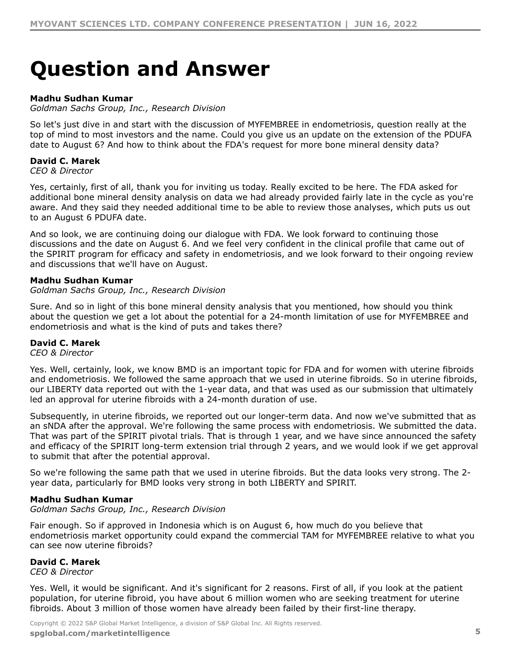### <span id="page-4-0"></span> $40() * + "+. + 5(8)$

 $"./0$  0./" + 10\$" &

0&  $12 -$ "  $\overline{4}$  $" - *$ .  $" & ('$ 

&)  $+$  & & &  $" 8 8 3 12-"$  !

 $x^2 + 8x + 8x + 1" 5$ <br>  $x^2 + 8x + 1" 5$ <br>  $x^3 + 8x + 1" 5$ <br>  $x^4 + 8x + 1" 8x + 1" 8x + 1" 8x + 1" 8x + 1" 8x + 1" 8x + 1" 8x + 1" 8x + 1" 8x + 1" 8x + 1" 8x + 1" 8x + 1" 8x + 1" 8x + 1" 8x + 1" 8x + 1" 8x + 1" 8x + 1" 8x + 1" 8x + 1" 8x + 1" 8x + 1"$  $\begin{array}{ccc} 8 & & & 8 \ & & \cdot & 8 \ \end{array}$  $8 + -1$ "! 5  $+$  $+$ 

"./0  $0.$ /" + 10\$" &

 $\begin{array}{ccc} 8' & + & 8 \\ 6 & + & \end{array}$  $8<sub>o</sub>$  $8, -14.$  $8<sup>1</sup>$  $\overline{4}$  $" - *$ .  $" & ('$ 

 $8$  0& 8<br>  $91"$ <br>  $3 + # $$ <br>  $7 + 91"$ <br>  $8 + 15 = 8$ <br>  $15 + 15 = 8$ <br>  $15 + 15 = 8$ <br>  $15 + 15 = 8$ <br>  $15 + 15 = 8$ <br>  $15 + 15 = 8$ <br>  $15 + 15 = 8$ <br>  $15 + 15 = 8$ <br>  $15 + 15 = 8$ <br>  $15 + 15 = 8$ <br>  $15 + 15 = 8$ <br>  $15 + 15 = 8$ <br>  $15 + 15 = 8$ <br>  $15 + 15 = 8$ <br>  $15 +$  $\mathbf{I}$  $$ +$  $8'$  $\mathbf{I}$ 

 $+$  ) +  $\begin{array}{ccc} & + & \times & + & \times & 8 & \times & 1/8, \\ & & - & \times & 1 & \end{array}$  + 8, 8, 1/8, # \$!  $\frac{1}{3}$ 

"./0  $0.$ /"+ 10\$"&

 $8 \begin{array}{ccccccccccc} & & & & + & & & \cdots & 8 & 8 & 3 & & + & 8 & & 8 & & & \ & & 8 & & * & & & & \cdots & & & \mathbb{S}^n & & & & & , - & . & / \# . \end{array}$  $+$  8  $+ 8$ 

 $\begin{array}{cccc} ! & * & * & * \\ & . & \& . & \& . & \& . & \& . & \& . & \end{array}$  $, 15 + 8$  $\begin{array}{c} 8 \\ 1 \end{array}$ &  $+$   $+$  $\mathbf{L}$ 

 $\mathbb{R}^n \times \mathbb{R}^n \times \mathbb{R}^n \times \mathbb{R}^n \times \mathbb{R}^n \times \mathbb{R}^n \times \mathbb{R}^n$ 

 $\frac{1}{2}$  " # \$ % \$ " & '() \* + ) ( \* (+ # (

6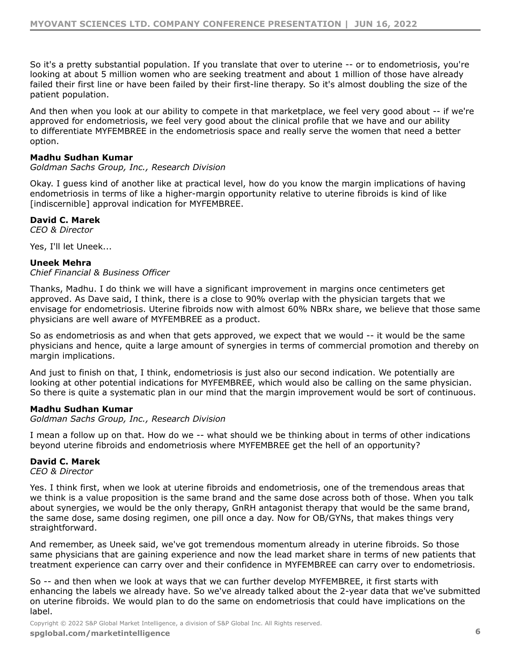&  $\sim$  $8 \qquad \qquad$ 

&)

 $\begin{matrix} & 8 & & + \\ & & + & \end{matrix}$  $\frac{1}{2} \left( \frac{1}{2} \right)^2 + \frac{1}{2} \left( \frac{1}{2} \right)^2$  $+$  8. 8.  $+$  8. 8. 1  $\frac{1}{2}$ ,  $\frac{1}{2}$ ,  $\frac{1}{2}$ ,  $\frac{1}{2}$ ,  $\frac{1}{2}$ ,  $\frac{1}{2}$ ,  $\frac{1}{2}$ ,  $\frac{1}{2}$ ,  $\frac{1}{2}$ ,  $\frac{1}{2}$ ,  $\frac{1}{2}$ ,  $\frac{1}{2}$ ,  $\frac{1}{2}$ ,  $\frac{1}{2}$ ,  $\frac{1}{2}$ ,  $\frac{1}{2}$ ,  $\frac{1}{2}$ ,  $\frac{1}{2}$ ,  $\frac{1}{2}$ ,  $\frac{1}{2}$ ,

"./0  $0.$ /" + 10\$" &

 $\mathcal{A}(\mathcal{C})$  ,  $\mathcal{A}(\mathcal{C})$  $=$   $\begin{array}{ccc} & 8 \\ & \cdot & \\ 2 & & 2 \\ & \cdot & \cdot \\ & \cdot & \cdot & \\ & \cdot & \cdot & \cdot \\ & \cdot & \cdot & \cdot \end{array}$  $\frac{1}{2}$  8  $+$  & ,<br>, - , / # , . !  $\alpha$ 

 $,$   $)$  2 !!!

 $+$  ( ( ' ( / & "

 $\mathcal{L}^{\mathcal{L}}(\mathcal{A})$  and  $\mathcal{L}^{\mathcal{L}}(\mathcal{A})$  and  $\mathcal{L}^{\mathcal{L}}(\mathcal{A})$  and  $\mathcal{L}^{\mathcal{L}}(\mathcal{A})$ and the contract of the  $\mathcal{L}_{\text{max}}$  and  $\mathcal{L}_{\text{max}}$ 

 $98.$  $\sim$  100  $\pm$  $\overline{08}$ & & !

"./0  $0.$ /" + 10\$" &

 $8 + 8$   $1 + + +$   $8 +$ <br>8  $\&$  $\alpha$  $\overline{4}$  $" - *$ .  $" & ('$ 

 $\frac{8}{100}$  $\boldsymbol{\alpha}$  $, 1$  $8 + 4$ <br>  $8 + 8$  $\overline{15}$  $\boldsymbol{\alpha}$ #(<br> $\frac{19 + 20}{19 + 20} = 78, 9$  $\begin{array}{c} 8 \\ 1 \end{array}$  $\mathcal{L}_{\text{max}}$  and  $\mathcal{L}_{\text{max}}$  $+\quad$  )  $\mathcal{L}_{\text{max}}$  and  $\mathcal{L}_{\text{max}}$  $\mathbf{1}$  $\frac{1}{\sqrt{2}}\left(\frac{1}{\sqrt{2}}\right)^{2}$  ,  $\frac{1}{\sqrt{2}}$  $, /$  #.  $+ \qquad + \qquad +$ 

 $\begin{array}{cccc} & & & + & & \\ & & & + & \end{array}$  $\begin{array}{cccc}\n+ & & & & \\
& 15 & + & 8\n\end{array}$ &  $\mathbf{1}$ 

 $\begin{array}{cccccccccc} 1 & 0 & \# & & & & & 1 & \end{array}$ 

 $\frac{1}{2}$  " # \$ % \$ " & '() \* + ) ( \* (+ # (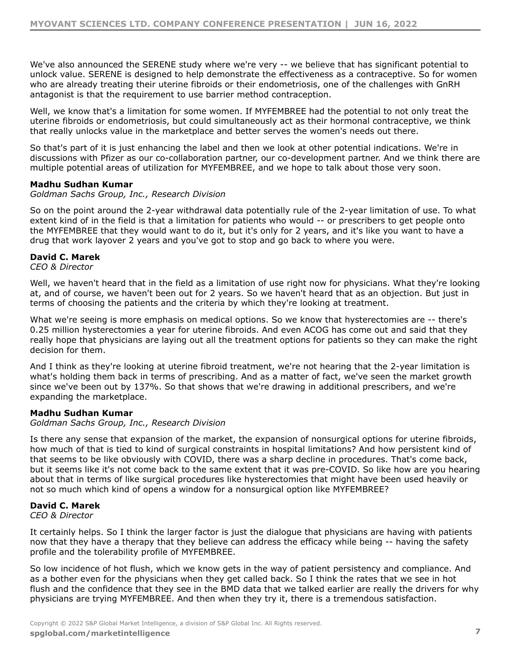$\mathbb{R}^n$  and  $\mathbb{R}^n$  . If  $\mathbb{R}^n \times \mathbb{R}^n \to \mathbb{R}^n$ 

 $8 + < 8$ <br>  $8 < 8$  $\frac{+}{8}$ <br>  $\frac{17}{8}$   $\frac{17}{4}$   $\frac{15}{4}$   $\frac{15}{4}$   $\frac{17}{4}$   $\frac{15}{4}$   $\frac{17}{4}$   $\frac{17}{4}$   $\frac{17}{4}$   $\frac{17}{4}$   $\frac{17}{4}$   $\frac{17}{4}$   $\frac{17}{4}$   $\frac{17}{4}$   $\frac{17}{4}$   $\frac{17}{4}$   $\frac{17}{4}$   $\frac{17}{4}$   $\frac{17}{4}$  "./0  $0.$ /"+ 10\$"&

 $8 + 8$ <br>+  $8 + 8$ <br>+  $8 + 8$  $8.1\frac{1}{9}$  +  $8 +$  $" - *$ .  $" & (')$ 

 $\begin{array}{ccc} 5 & + & ) & \end{array}$ <br>1 ; '  $\begin{array}{c} \hline \end{array}$  $\mathbf{g}$  $\sim 10^{11}$  MHz

 $\begin{pmatrix} 1 \\ + \end{pmatrix}$  $\left( \begin{array}{cc} + & \end{array} \right)$  $\mathbb{R}^n$ 

"./0  $0.'$ " + 10\$" &

 $\begin{array}{ccccccccccccc} \star & & & & & & & & & & & \star & & & & \star & & & & \star & & & & \star & & & & \star & & & & \star & & & & \star & & & & & \star & & & & \star & & & & \star & & & & \star & & & & \star & & & & \star & & & & \star & & & & \star & & & & \star & & & & \star & & & & \star & & & & \star & & & & \star & & & & \star & & & & \star & & & & \star & & & & \star & & & & \star & & & & \star & & & & \star & & & & \star & & & & \star & & & & \star & & & & \star & & & & \star & & & & \star & &$  $\begin{array}{ccccccc}\n & & 8 & & & & \\
 & & 4 & & & + & \\
\end{array}$  $8<sup>o</sup>$  $8 + 8 = D1 +$ <br>  $8 + 8 +$ <br>  $8 + 4 +$ <br>  $8 + 8$ <br>  $9 + 8 = 8$ <br>
8  $+$   $8$ & !\$ )  $+$  = D 1!  $+$  8  $\begin{array}{ccc} 8 & & & \\ & 8 & & + \end{array}$ &  $, -$  / #. . 4  $" - *$ .  $" & (')$ 

 $\sim 10^{-11}$  $\mathscr{R}$  $\boldsymbol{\alpha}$  $+$  $, -, / #...!$  $+$  8  $\mathcal{F}^{\text{max}}_{\text{max}}$  and  $\mathcal{F}^{\text{max}}_{\text{max}}$  $+$   $+$  $\ddot{+}$  $\mathbf{I}$  $8<sub>1</sub>$  $\sim$  8  $\mathbf{L}$ 

 $\frac{1}{2}$  " # \$ % \$ " & ' ( ) \* + ) ( \* ( + # (

 $\begin{array}{cccccccccc} 1 & 0 & \# & & & & & 1 & \end{array}$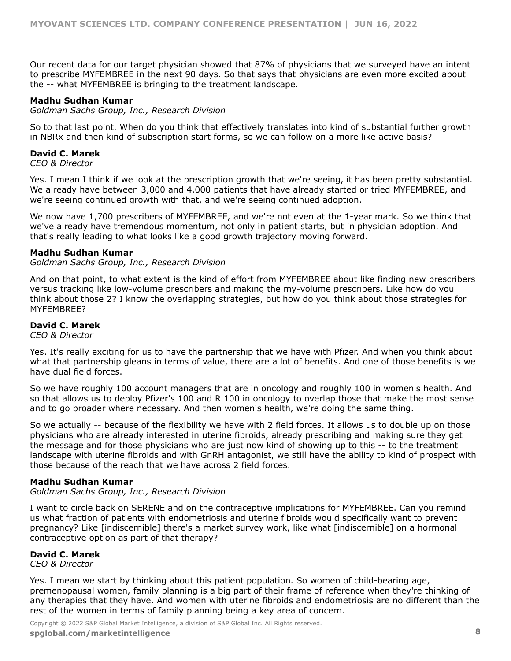$= 8$  8<br>+ , - / # . &  $\overline{\phantom{a}}$  $\boldsymbol{\alpha}$ "./0  $0.$ /" + 10\$" &  $9/#$ <sup>\*</sup>  $15$  &  $\mathcal{L}^{\text{max}}_{\text{max}}$  ,  $\mathcal{L}^{\text{max}}_{\text{max}}$  $\ddot{}$  $" - *$ .  $" & (')$ ,  $\sim 10^{-3}$  .  $+$   $+$   $)$  $8<sup>2</sup>$  $\sim$  100  $\pm$  $\begin{array}{cccc}\n\vdots & & 6 \\
& + & + \n\end{array}$  $\begin{matrix}5 & & & +\\ + & \end{matrix}$  $+$  ) 8  $, -1$  /#..  $\pm$  "  $+$   $+$ "./0  $0.''+ 10$  \$" &  $8$ <br>  $8$ <br>  $-7$  / #  $-4$  $\begin{array}{ccc} & + & & 8' \\ 4 & & + \end{array}$  $\left\langle \frac{1}{2} \right\rangle$  $\&$  $\overline{4}$  $\begin{array}{ccc} . & . & . & \end{array}$  $\begin{array}{ccccccccc} + & & & + & & & < & \vdots & ^ & + \\ & & & & & & & \vdots & ^ & & \vdots \\ & & & & & & & \vdots & ^ & & \end{array}$ & &  $\begin{array}{ccc} \text{8} & \text{1} \end{array}$  $+$  8 8<br>+ 8<br>+  $8'$  $\sim 1$ ."  $\mathbf{L}$  $\begin{array}{cc} \ast & & + \\ & & \& & \& \& \end{array}$  $\begin{matrix} 8 & 8 \\ + & 8 \end{matrix}$  $+$ &  $98$  $+$  8  $+$  $\frac{966}{4}$  +  $\frac{1}{2}$  $+$  $+ 8$  $+$ 8 "./0  $0.$ /"+ 10\$"&  $+ 8$  $\sim$  8.  $. 4.9.$  $, /$  #. .!  $47 > \frac{+3}{?}$ <br>47 >  $\frac{8}{4}$  $\begin{array}{c} + \\ 2 \end{array}$ **Contract Contract**  $+$  $" - *$ .  $" & ('$  $\begin{array}{ccc} & + & & \textcircled{8}\\ & + & & \textcircled{8}\\ \end{array}$  $\label{eq:2} \frac{1}{\sqrt{2}}\left[\frac{1}{\sqrt{2}}\right]^{1/2}\left[\frac{1}{\sqrt{2}}\right]^{1/2}$  $\begin{array}{ccc} 8 & 1 & + \end{array}$ 

 $+$  )  $\frac{1}{2} \left( \frac{1}{2} \right)^2 \left( \frac{1}{2} \right)^2 \left( \frac{1}{2} \right)^2$  $+$  $\&$  $\overline{1}$  $\begin{array}{ccc} & \text{ \bf 1} & \text{ \bf 0} & \text{ \bf 0} & \text{ \bf 1} & \text{ \bf 1} \\ & \text{ \bf 1} & \text{ \bf 0} & \text{ \bf 0} & \text{ \bf 1} & \text{ \bf 1} \\ & \text{ \bf 0} & \text{ \bf 0} & \text{ \bf 1} & \text{ \bf 1} & \text{ \bf 1} \\ & \text{ \bf 0} & \text{ \bf 0} & \text{ \bf 1} & \text{ \bf 1} & \text{ \bf 1} & \text{ \bf 1} \\ & \text{ \bf 0} & \text{ \bf 0} & \$ 

 $\frac{1}{2}$  " # \$ % \$ " & '() \* + ) ( \* (+ # (

8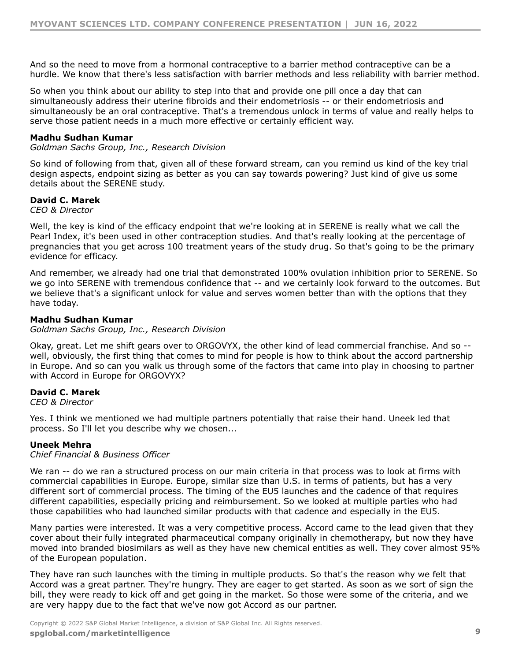$\begin{array}{ccccccc}\n & 8 & 15 & & + & & \n\end{array}$  $\frac{1}{2} \left( \frac{1}{2} \right)$  ,  $\frac{1}{2} \left( \frac{1}{2} \right)$  ,  $\frac{1}{2} \left( \frac{1}{2} \right)$  $\ddot{}$ 

 $8<sup>2</sup>$  $8<sup>2</sup>$  $+$   $\frac{1}{2}$ 

 $"./0$  0./" + 10\$" &

 $\mathbf{r} = \mathbf{r} + \mathbf{r}$  , where  $\mathbf{r} = \mathbf{r}$ & ' &  $\begin{array}{ccccccc}\n & + & & \cdot & & \& & \cdot & & \times & \cdot \\
\& & & + & & + & & 4 & F\& & & \end{array}$  $\sim$  8. 8. #9. &

 $" - *$ .  $" & (')$ 

5  $\left( \begin{array}{cc} * & 0 \\ 0 & 0 \end{array} \right)$  $\alpha$  and  $\alpha$ &  $\mathbf{I}$  $8A &$  $, \#$ . 9. !  $\begin{array}{c} & + \\ + & \end{array}$ & ' ! / &  $\alpha$ 

 $\begin{pmatrix} 1 & 1 \\ 1 & 1 \end{pmatrix}$ 

"./0  $0.$ /" + 10\$" &

 $=$   $\begin{array}{ccc} 1 & 7 & \cdot \\ + & \cdot & 8 \end{array}$  =# = D, G  $\sim 10^{-1}$  km  $^{-1}$  $\mathbb{R}^n$  $\alpha$  $-8$   $\begin{array}{ccc} 1 & 0 & 0 \\ 0 & 0 & 0 \\ 0 & 0 & 0 \\ 0 & 0 & 0 \\ 0 & 0 & 0 \\ 0 & 0 & 0 \\ 0 & 0 & 0 \\ 0 & 0 & 0 \\ 0 & 0 & 0 \\ 0 & 0 & 0 \\ 0 & 0 & 0 \\ 0 & 0 & 0 \\ 0 & 0 & 0 \\ 0 & 0 & 0 \\ 0 & 0 & 0 \\ 0 & 0 & 0 \\ 0 & 0 & 0 \\ 0 & 0 & 0 \\ 0 & 0 & 0 \\ 0 & 0 & 0 \\ 0 & 0 & 0 \\ 0 & 0 & 0 \\ 0 & 0 & 0 \\$ 

 $" - *$ .  $" & (')$ 

 $\frac{1}{2}$  $\sim$  111  $+$  ( ( ' ( / & "

 $88$ <br> $8.18$ <br> $9.15$  $5$ ,  $+$ &  $.2; 8$  $0 &$  $8$   $8$   $1 +$ <br> $8$   $1 +$  $\frac{1}{2}$  &  $+$  $+$  $.2;!$  $8 +$  $+$  ! \$  $@A$  $8<sub>1</sub>$  $\frac{1}{\pi}$ &  $+$  ) +  $^{''}$  8  $+$  $+$ &  $\sim 10^5$ 

and the contract of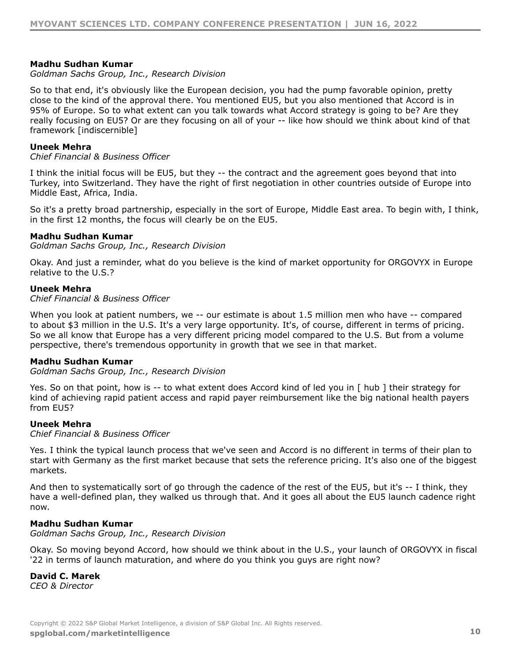$"./0$  0./" + 10\$" &

@ A . & ! + \*<br>  $x = 2$ ; 4 =  $x = 2$ <br>  $x = 2$ <br>  $x = 2$ <br>  $x = 2$  $4"$  $+$  ( ( ' ( / & " \$&  $+$  . 2; &<br>\$&  $+$  <  $\frac{8}{5}$  .  $\frac{8}{5}$  $8 \t38$  $8<sup>1</sup>$  $.8$   $.2$ ;!  $\qquad$   $\frac{15}{15}$  +  $"./0$  0./" + 10\$" &  $=$   $\begin{array}{ccc} 1 & 9 & 1 \\ 2 & 14 & 4 \end{array}$  + 8  $8 = # = D, G \ . 8$  $+$  ( ( ' ( / & "  $"./0$  0./" + 10\$" &  $\epsilon=1$  .  $\epsilon=1$  $\frac{1}{2}$ ; 4  $+$  ( ( ' ( / & "  $\begin{pmatrix} 1 & 1 \end{pmatrix}$  $\begin{aligned} \mathbf{r} &= \frac{1}{\sqrt{2\pi}}\left(\frac{1}{\sqrt{2\pi}}\right)^{\frac{1}{2}}\left(\frac{1}{\sqrt{2\pi}}\right)^{\frac{1}{2}}\left(\frac{1}{\sqrt{2\pi}}\right)^{\frac{1}{2}}\left(\frac{1}{\sqrt{2\pi}}\right)^{\frac{1}{2}}\left(\frac{1}{\sqrt{2\pi}}\right)^{\frac{1}{2}}\left(\frac{1}{\sqrt{2\pi}}\right)^{\frac{1}{2}}\left(\frac{1}{\sqrt{2\pi}}\right)^{\frac{1}{2}}\left(\frac{1}{\sqrt{2\pi}}\right)^{\frac{1}{2}}\left(\frac$  $8$ <br>  $+ 8$   $8$   $\vdots$   $8$   $\vdots$   $8$ <br>  $+ 8$   $8$   $\vdots$   $8$  $+1$ "./0  $0.$ /"+ 10\$"&

 $" - *$  .  $" & (')$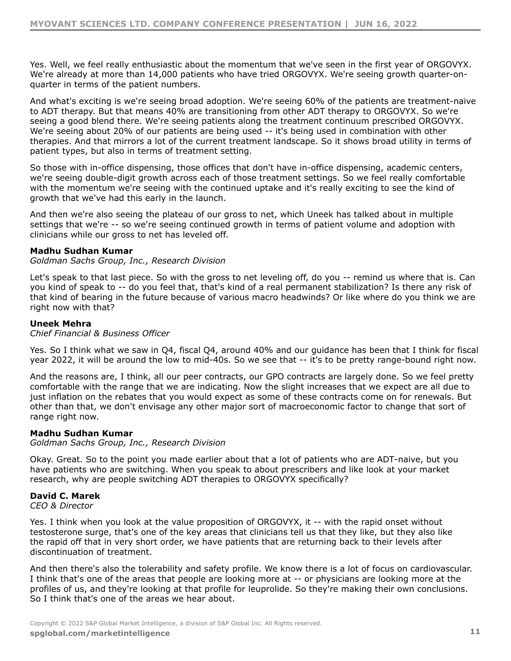$8 \times 8$  +  $1 \times 8$  +  $1 \times 100$ <br>  $8 \times 1$  = # = D, G! 5 ) + 0&<br>  $8 \times 1$  $, 15$  $\begin{array}{cc} + & & \\ & \ddots & \\ & & \ddots \end{array}$  $=$  # = D, G!  $\begin{bmatrix} 5 \end{bmatrix}$  $0 &$  $\begin{array}{cc} 15 \\ 5 \end{array}$   $\begin{array}{cc} 3 & A \\ 1 & 1 \end{array}$  $\begin{array}{c} 1 / 8 \\ 1 / 5 \end{array}$  , 6 A  $+$  $\overline{)}$  $"1$$  $=$  # = D, G! + )  $8.8'$  = # = D, G!  $\begin{array}{cccc} 8 & A & 8 \end{array}$  $8 \qquad \qquad \begin{matrix} 8 \end{matrix}$  $\begin{matrix} + \\ 8 \end{matrix}$  $5)$  $+$  $\frac{8}{1}$  $\mathbf{L}^{(0)}$  $\sim 10$ &  $\mathbf{L}$  $\left( \begin{array}{c} \end{array} \right)$  $\sim 1$  .  $\mathcal{A}^{\mathrm{c}}$  and  $\begin{array}{cccc} & & \alpha & & & + \\ & \cdot & & \& & + \\ & & & & + \end{array}$  $+$  )  $+$  $888$  $\ddot{}$  $\rightarrow$  $+$  )  $+$  $\alpha$  $(+ )$ <br>  $+$   $(- )$ <br>  $+ )$ <br>  $+$   $( )$ & ' &  $+$  )  $\overline{2}$  $8'$ "./0  $0.$ /"+ 10\$"&  $7)$  $\frac{1}{2}$  8. +  $!$  + - & **Contract Contract**  $8<sup>1</sup>$  $\overline{4}$  $\leq$  $+$  $4 =$ &  $\ddot{}$  $+ +$  $\overline{4}$  $+$  ( ( ' ( / & "  $+$   $+$   $16$   $16$  & 6 A & &<br>&  $+$  '6 ! +  $\sim 1$  .  $\boldsymbol{\alpha}$  $+!$ & Τ.  $!9 +$  $\sim 10^{-11}$  $+$ <br> $8+8$   $*$  $+$ &  $\frac{1}{8}$ 9**&**  $+$  $\sim 10^7$  $\sim 10^{11}$  km  $^{-1}$  $\begin{matrix} & + & & \\ & + & & \\ & + & & \end{matrix}$  $%$ "./0  $0.$ /"+ 10\$"&  $\begin{array}{ccc} 8 & & & \\ & 8 & & \\ & & 8 & \\ & & & 7 \end{array}$  $8'$ <br>+  $\frac{15}{15}$  &<br>+  $\frac{15}{15}$  $"1$$  $=$   $\frac{1}{2}$   $\frac{1}{2}$  $\alpha$  $\&$  $\alpha$  '  $+$  $=$  #  $=$  D, G  $\overline{4}$  $" - *$  .  $" &$  & ('  $+$  &<br>&  $=$  # = D, G +  $, 1$ &  $+$  $\alpha$  $\overline{\phantom{a}}$ &  $\boldsymbol{\alpha}$  $\mathbf{g}$  $\pm$  $\frac{1}{5}$  +  $\overline{\phantom{a}}$ &  $\begin{array}{ccc} & 8 & 1 \\ & & \end{array}$  $\left( \begin{array}{c} 1 \end{array} \right)$  $\lambda$  $8 \qquad \qquad$  $8<sup>1</sup>$  $\left( \begin{array}{c} \end{array} \right)$  $\ddot{+}$  $\rightarrow$ 8 !  $\ddot{+}$ 

 $\frac{1}{2}$  " # \$ % \$ " & ' ( ) \* + ) ( \* ( + # (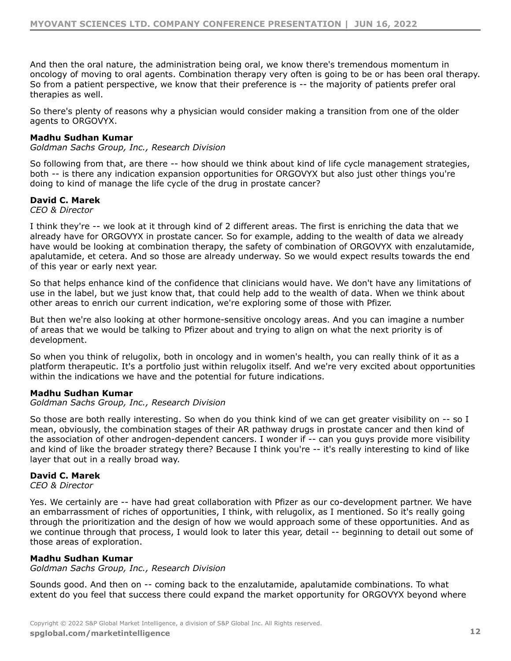$+$   $)$   $'$   $8$   $'$   $8$  $\frac{1}{2}$   $\frac{1}{2}$   $\frac{1}{2}$   $\frac{1}{2}$  $\frac{1}{2}$   $\frac{1}{2}$   $\frac{1}{2}$   $\frac{1}{2}$   $\frac{1}{2}$   $\frac{1}{2}$   $\frac{1}{2}$   $\frac{1}{2}$   $\frac{1}{2}$   $\frac{1}{2}$   $\frac{1}{2}$   $\frac{1}{2}$   $\frac{1}{2}$   $\frac{1}{2}$   $\frac{1}{2}$   $\frac{1}{2}$   $\frac{1}{2}$   $\frac{1}{2}$   $\frac{1}{2}$   $\frac{1}{2}$   $\frac{1}{2}$   $\frac{1}{2}$   $+$   $+$  8.  $\begin{array}{c} \hline \end{array}$ 

 $\mathbf{I}$ 

 $\bar{1}$  – "

$$
= # = D, G!
$$

 $"./0$  0./" + 10\$" &

 $" - *$ .  $" & (')$ 

$$
+ 8
$$
  
\n
$$
= # = D, G
$$
  
\n
$$
+ 8
$$
  
\n
$$
+ 8
$$
  
\n
$$
+ 8
$$
  
\n
$$
+ 8
$$
  
\n
$$
+ 8
$$
  
\n
$$
+ 8
$$
  
\n
$$
+ 8
$$
  
\n
$$
+ 8
$$
  
\n
$$
+ 8
$$
  
\n
$$
+ 8
$$
  
\n
$$
+ 8
$$
  
\n
$$
+ 8
$$
  
\n
$$
+ 8
$$
  
\n
$$
+ 8
$$
  
\n
$$
+ 8
$$
  
\n
$$
+ 8
$$
  
\n
$$
+ 8
$$
  
\n
$$
+ 8
$$
  
\n
$$
+ 8
$$
  
\n
$$
+ 8
$$
  
\n
$$
+ 8
$$
  
\n
$$
+ 8
$$
  
\n
$$
+ 8
$$
  
\n
$$
+ 8
$$
  
\n
$$
+ 8
$$
  
\n
$$
+ 8
$$
  
\n
$$
+ 8
$$
  
\n
$$
+ 8
$$
  
\n
$$
+ 8
$$
  
\n
$$
+ 8
$$
  
\n
$$
+ 8
$$
  
\n
$$
+ 8
$$
  
\n
$$
+ 8
$$
  
\n
$$
+ 8
$$
  
\n
$$
+ 8
$$
  
\n
$$
+ 8
$$
  
\n
$$
+ 8
$$
  
\n
$$
+ 8
$$
  
\n
$$
+ 8
$$
  
\n
$$
+ 8
$$
  
\n
$$
+ 8
$$
  
\n
$$
+ 8
$$
  
\n
$$
+ 8
$$
  
\n
$$
+ 8
$$
  
\n
$$
+ 8
$$
  
\n
$$
+ 8
$$
  
\n
$$
+ 8
$$
  
\n
$$
+ 8
$$
  
\n
$$
+ 8
$$
<

8<br>  $8 + \%$ <br>  $8 + \%$ <br>  $+ 8$ <br>  $+ 8$ <br>  $+ 8$ <br>  $+ 8$ <br>  $+ 8$ <br>  $+ 8$ <br>  $+ 8$ <br>  $+ 8$ <br>  $+ 15$ <br>  $+ 8$ <br>  $+ 15$ <br>  $+ 1$ <br>  $+ 8$ <br>  $+ 1$ <br>  $+ 1$ <br>  $+ 8$ <br>  $+ 1$ <br>  $+ 1$ <br>  $+ 1$ <br>  $+ 1$ <br>  $+ 1$ <br>  $+ 1$ <br>  $+ 1$ <br>  $+ 1$ <br>  $+ 1$ <br>  $+ 1$ <br>  $+ 1$ <br>  $+ 1$ <br>  $+ 1$ <br>  $15 +$  $8'$ 

"./0  $0.$ /"+ 10\$"&

 $" - *$ .  $" & ('$ 

 $"./0$  0./" + 10\$" &

 $\begin{array}{lllllllll} \mathbf{I}^{\mathsf{in}} & \# & \mathsf{I} & \mathsf{I} \end{array}$  $\frac{1}{2}$  " # \$ % \$ " & ' ( ) \* + ) ( \* ( + # (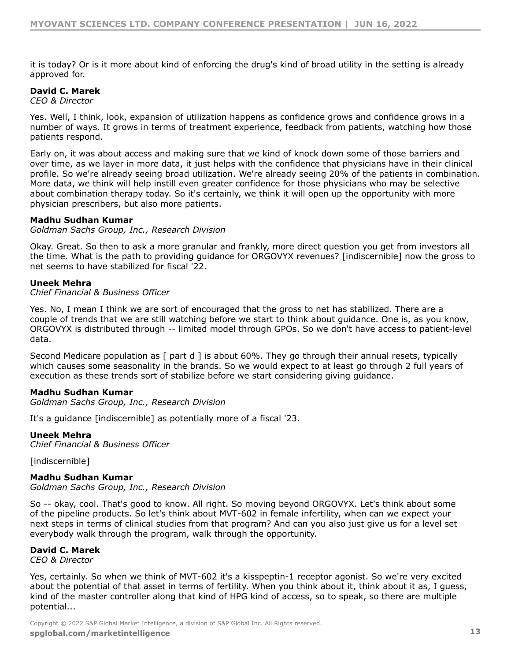$4 = 8$  $\&\quad$  $\alpha$  $\mathbf{I}$  $" - *$   $" & ('$ , !5  $\mathbf{8}'$  $\ddot{}$  $\mathbf{I}$  $\begin{array}{c} 8 \end{array}$  $\pm$   $^{-1}$  $\sim$  8  $+$  $+$ O<sub>R</sub>  $+$ **Contractor**  $\mathbf{I}$  $+$  )  $8 < 15$ )  $A$  $+$  $8^{\circ}$  $\alpha$ &  $\ddot{+}$  $+$  $\alpha$  $"./0$  0./" + 10\$" &  $\frac{1}{2}$  8  $\sim 100$  km s  $^{-1}$  $\sim 1$  $=$   $\frac{1}{2}$ 0&  $=$  # = D, G  $\frac{1}{2}$   $\frac{1}{2}$  5  $8 \quad 4 >$  $8<sup>o</sup>$  $\rightarrow$  1  $\prec$  and  $\prec$  $+$  ( ( ' ( / & "  $, 9$  $<$  ! \$ & & &  $!=$  8. &  $\ddot{}$  $\alpha$  $=$  !  $=$  # = D, G  $+$  )  $\frac{-L}{l}$  $\sim$  8  $\rightarrow$  $\ddot{\phantom{0}}$ & 3 A ! \$ &  $\frac{1}{2}$  + + &  $8<sub>o</sub>$  $\&$  $\ddot{+}$  $8<sub>o</sub>$  $\mathbf{I}$  $\leq$  $"./0$  0./" + 10\$" &  $\overline{\phantom{a}}$  $\overline{\phantom{a}}$   $\overline{\phantom{a}}$  $+$  ( ( ' ( / & "  $>$  ?  $"./0$  0./" + 10\$" &  $\frac{8}{100}$  $\rightarrow$  1  $''$  .  $\sim 10^{-10}$  M  $_{\odot}$  $\frac{1}{2}$  \$ )  $\frac{1}{\sqrt{2}}$  $=$  #  $=$  D, G! 7 )  $\begin{bmatrix} 8 & 1 \end{bmatrix}$  $\begin{matrix} \n\end{matrix} \quad \begin{matrix} \n\end{matrix} \quad \begin{matrix} \n\end{matrix}$  $\boldsymbol{\&}$ D\$ 3  $\&$  $\ddot{}$  $\begin{array}{c} \begin{array}{c} \prime \\ \circ \\ \circ \end{array} \\ \begin{array}{c} \circ \\ \circ \end{array} \\ \end{array}$  $^{\prime}$  4  $^{\prime}$  $8<sup>2</sup>$  $\mathcal{R}$  $\boldsymbol{\alpha}$  $+$  8  $\alpha$ &  $\mathbf{I}$ D\$ 3  $\begin{array}{ccc} & + & \\ & + & \end{array}$  $\overline{)}$ 8  $\frac{1}{5}$  $\begin{array}{ccc} 8 & & 8 \end{array}$  $8<sup>2</sup>$ &  $\sim$   $\sim$  $^{\prime}$  &  $\sqrt{ }$  $\pm$  1.1  $\pm$ 

 $\frac{1}{2}$   $\frac{1}{2}$   $\frac{1}{2}$   $\frac{1}{2}$   $\frac{1}{2}$   $\frac{1}{2}$   $\frac{1}{2}$   $\frac{1}{2}$   $\frac{1}{2}$   $\frac{1}{2}$   $\frac{1}{2}$   $\frac{1}{2}$   $\frac{1}{2}$   $\frac{1}{2}$   $\frac{1}{2}$   $\frac{1}{2}$   $\frac{1}{2}$   $\frac{1}{2}$   $\frac{1}{2}$   $\frac{1}{2}$   $\frac{1}{2}$   $\frac{1}{2}$   $\frac{1}{2}$  " # \$ % \$ " & ' ( ) \* + ) ( \* ( + # (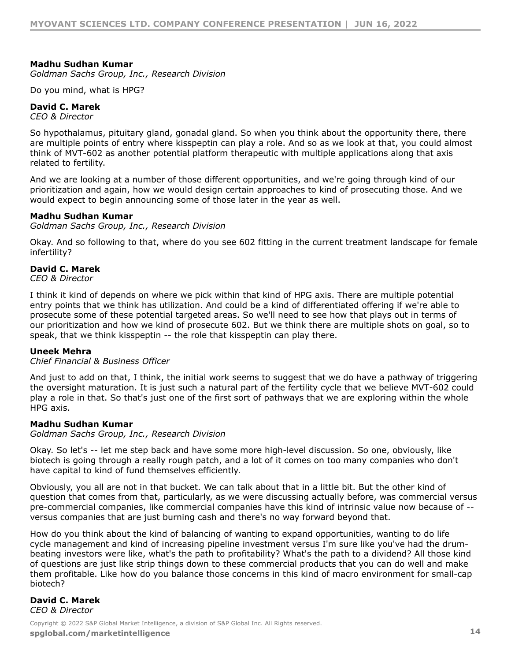$"./0$  0./" + 10\$" &

 $1 \& + (4)$ 

 $" - *$ .  $" & (')$ 

 $\mathbf{g}$  $88$  $8<sub>1</sub>$  $\frac{1}{8}$ & & '  $\pm$  $\overline{D\$}$  3

 $8 + 1$  $\mathbf{r} = \mathbf{r} + \mathbf{r}$ & ' & &  $\pm$   $^{\circ}$  $\mathbf{r}$  $+ + +$   $+$  &  $+ 8$   $+$ &  $+$   $+$ "./0  $0.$ /"+ 10\$"&

 $=\begin{array}{cc} | & | & | \ 1 & | & | \ 4 & | & | \end{array}$  $8 \qquad \qquad$  $+$ &  $\mathbf{3}$ 

 $" - *$ .  $" & (')$ 

 $\frac{1}{\epsilon}$  $($   $*$   $\vdots$  \$ ' &  $+$  8  $\begin{array}{ccc} & + & \\ \hline & \end{array}$  $\chi_{\rm{eff}}=0.5$  $+$  )  $8<sup>8</sup>$  $8<sup>2</sup>$  $\mathcal{A}$  .  $+$  )  $\mathbf{8}$  $8 \t3 \t/8 +$  $\leq$  $+$  +  $\boldsymbol{\alpha}$ 

 $+$  ( ( ' ( / & "

 $\mathcal{F}_{\mathcal{A}}$  .  $\boldsymbol{\alpha}$ D\$ 3  $\&$  $+$  $\ddot{+}$ 

"./0  $0.$ /"+ 10\$"&

 $\hspace{.6cm} = \hspace{.6cm} | \hspace{.6cm} \rangle \hspace{1.1cm}$  $\mathcal{A}(\mathbf{r})$  and  $\mathcal{A}(\mathbf{r})$  $\alpha$  $\overline{\phantom{a}}$  $\frac{8}{1}$  $\alpha$  $\alpha$  $+$  $\sim 1$ 

 $=$  & &  $\begin{array}{c|c} 8 & 15 \end{array}$  $! / 8$  $\frac{1}{2} \sum_{i=1}^n \frac{1}{2} \sum_{j=1}^n \frac{1}{2} \sum_{j=1}^n \frac{1}{2} \sum_{j=1}^n \frac{1}{2} \sum_{j=1}^n \frac{1}{2} \sum_{j=1}^n \frac{1}{2} \sum_{j=1}^n \frac{1}{2} \sum_{j=1}^n \frac{1}{2} \sum_{j=1}^n \frac{1}{2} \sum_{j=1}^n \frac{1}{2} \sum_{j=1}^n \frac{1}{2} \sum_{j=1}^n \frac{1}{2} \sum_{j=1}^n \frac{1}{2} \sum_{j=$  $\overline{08}$  $\ddot{+}$  $\begin{array}{c} 8 \end{array}$  $\alpha$  $\frac{1}{8}$  $\frac{1}{2}$  $\alpha$  $+$  $\boldsymbol{\alpha}$ &  $\frac{1}{2} \frac{1}{2} \frac{1}{2}$  $( + 8 8 8)$  $\begin{array}{ccc} & & 8 \\ 8 & )' & 8 \end{array}$  $+$  $\begin{pmatrix} + & 0 \\ 0 & 0 \end{pmatrix}$  $\alpha'$  $\begin{pmatrix} 4 & 5 \end{pmatrix}$  $+$  ) 4 "  $+$ 

 $+$  $\frac{98}{17}$  + 8  $\begin{array}{c} 8 \\ 1 \end{array}$  $\begin{array}{c} 8 \\ 1 \end{array}$ 0&  $+$  $\begin{array}{c} \begin{array}{c} \end{array} \\ 4 \end{array}$ 

 $" - *$ .  $" & ('')$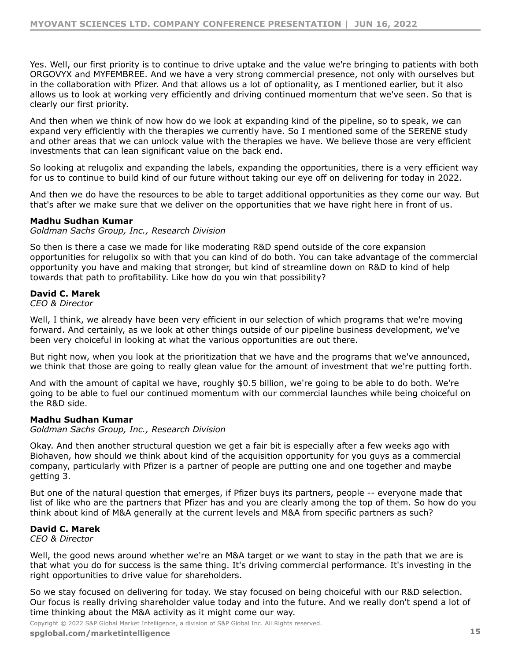$8 + 0$  $, 15$  &  $8\qquad 8$  $=$  # = D, G , - / #. .!"  $8<sub>1</sub>$  $\boldsymbol{\alpha}$  $+ 8$  $\begin{array}{ccccccccc} + & & & & & & & & & \end{array} \hspace{.2cm} \begin{array}{ccccccccc} & & & & & & & & \end{array} \hspace{.2cm} \begin{array}{ccccccccc} & & & & & & & \end{array} \hspace{.2cm} \begin{array}{ccccccccc} & & & & & & & \end{array}$ &  $8 \left( \begin{array}{ccc} 8 & 1 & 1 \end{array} \right)$   $8'$   $+$   $)$  $+ 8$   $+$ <br>8  $\sim 1$  $\alpha$  $+\frac{1}{2}$  $\begin{array}{ccc} \n\frac{1}{2} & + & + \n\end{array}$  $\boldsymbol{\alpha}$  $\sim 10^{11}$  km s  $^{-1}$  $\boldsymbol{\alpha}$  $\mathbf{I}$  $\alpha$  $\alpha$  $\mathbf{L}$  $8 + 1/8$  $rac{8}{4}$  $8 +$  $\boldsymbol{\alpha}$  $8!$ "./0  $0.$ /"+ 10\$"&  $\mathbf{r}=\mathbf{r}$  $8<sup>2</sup>$  $8<sup>2</sup>$  $# 1$  $8<sup>2</sup>$  $\ddot{}$  $\frac{17}{7}$  +  $+$  $" - *$  .  $" & ('$  $+$  $\alpha$  $\leq$  $/8$  + +  $/8$  $\begin{array}{ccccccccccc} & + & & & 8 & & H & \vdots & & + & ) & & & & & & 5 \end{array}$ <br>  $\begin{array}{ccccccccccc} & + & & & 8 & & H & \vdots & & + & ) & & & & & & 5 \end{array}$ &  $# 1$  ! "./0  $0.$ /"+ 10\$"&

 $888$ and a sta 0&  $\mathbf{r}$  $/8$  $<$  &  $\frac{1}{\mathfrak{m}}\left(\frac{1}{\mathfrak{m}}\right)^{\frac{1}{2}}$  $\sim 200$  km s  $^{-1}$ & &  $8 \quad 4$  $8<sub>1</sub>$ &  $" - *$ .  $" & (')$  $\begin{array}{cccc} 8 & + & & + & \end{array}$   $\begin{array}{cccc} \end{array}$  $5<sub>5</sub>$  $+$  $+$   $+$  $\begin{array}{ccc} & & & \rightarrow & \\ & & \& & & \& & \\ & & & \& & & \& & \\ & & & & \& & & \end{array}$  $8<sub>1</sub>$  $\mathbf{r}$  $\alpha$ &  $8#1$  ! &  $+$ 

 $\frac{1}{8}$  $\begin{array}{ccc} \alpha & & & \\ \alpha & & & \alpha \\ \end{array}$  $= 8 8$  $\sim$  8  $\mathbf{u} = \mathbf{u}$ 

 $\frac{1}{2}$  " # \$ % \$ " & ' ( ) \* + ) ( \* ( + # (

 $\mathbf{\&}$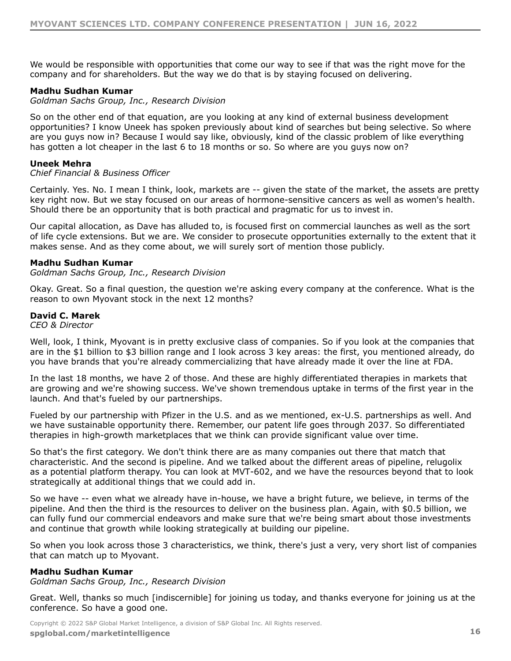$5 + 8$  + 8<br>  $\frac{1}{8} + \frac{1}{8}$  + 8<br>  $\frac{1}{8} + \frac{1}{8}$  + 4  $\boldsymbol{\alpha}$  $\mathbf{I}$  $"./0$  0./" + 10\$" &  $8<sup>8</sup>$  $\sim 10^{-11}$ & 4 + 2<br>& & + 4/  $8 + 8$ &  $8E'$   $\qquad \qquad$  ! +  $3<sup>1</sup>$  $88$   $4$  $\overline{4}$  $+$  ( (  $'$  ( / & "  $\frac{1}{1}$ ,  $\frac{1}{1}$  9  $\frac{1}{1}$  $\frac{1}{2}$ ,  $\frac{19}{8}$  . <br>  $\frac{1}{8}$  . <br>  $\frac{1}{8}$  . <br>  $\frac{1}{8}$  . <br>  $\frac{1}{8}$  . <br>  $\frac{1}{8}$  . <br>  $\frac{1}{8}$  . <br>  $\frac{1}{8}$  . <br>  $\frac{1}{8}$  . <br>  $\frac{1}{8}$  . <br>  $\frac{1}{8}$  . <br>  $\frac{1}{8}$  . <br>  $\frac{1}{8}$  . <br>  $\frac{1}{8}$  . <br>  $\frac{1}{8}$  . <br>  $+$  $\sim$   $-1$  $+$   $\qquad$  )  $\alpha$  $\overline{1}$ &  $\sim$  8  $= 8$  $+$  $\&$  $8<sub>1</sub>$  $\mathcal{O}(\mathcal{O}(\log n))$ &  $\mathbf{I}$ "./0  $0.$ /"+ 10\$"&  $=$   $\begin{array}{ccc} 1 & 1 & 0 & 0 & 0 & 0 & 0 & + & 0 & + & 0 & + & 0 & + & 8 & + & 4 \end{array}$  $\mathbf{U}$  and  $\mathbf{U}$  and  $\mathbf{U}$  $\frac{1}{5}$  $" - *$ .  $" & (')$  $*$  &  $5<sub>5</sub>$  $\begin{array}{c} 1 \\ 0 \\ 0 \end{array}$  $\infty$  $H:$ & '  $H8$  $1/\sqrt{2}$  $\label{eq:1} \begin{array}{ccccc} &\ddots &\ddots &\ddots &\ddots \end{array}$  $-1"!$  $8<sup>2</sup>$ 8) 8E '  $\bar{U}$  $\mathbf{I}$  $+$ \* 2! !  $+$   $\frac{1}{2}$ - &  $8<sup>8</sup>$  $\begin{array}{ccc} 2! & 1 \\ 8 & 1 & 1 \\ 8 & & 1 \end{array}$  $8<sub>1</sub>$  $+$   $-$ )  $\begin{array}{cc} & \vdots & \vdots \end{array}$  $\mathcal{O}(\mathcal{O}(\log n))$  .  $8<sub>1</sub>$ &  $*$  $\sim$  8  $\bar{U}$  $88 +$  $\& +$  $\mathbb{L}^{(0)}$ & &  $+$  $H(!)$  $\frac{1}{2}$  8  $8<sub>1</sub>$  $+\quad$  )<br>& & &  $\boldsymbol{\alpha}$  $\sim 10^{-1}$  $\boldsymbol{\alpha}$ &  $\begin{array}{ccc} + & & 8 \\ & & \ddots & \\ & & & 8 \end{array}$  $+$  $98$  $\ddot{\cdot}$  $\frac{1}{1}$  $"./0$  0./" + 10\$" &  $\begin{array}{ccccccccc}\n & 1 & 5 & & & & \n\end{array}$  $\frac{1}{2}$  % &  $\%$  $\&$  $\mathbf{I}$  $\sim 10^{-10}$  .  $\mathop{!}\nolimits$  "  $\mathop{!}\nolimits$  "  $\frac{1}{2}$  " # \$ % \$ " & '() \* + ) ( \* (+ # (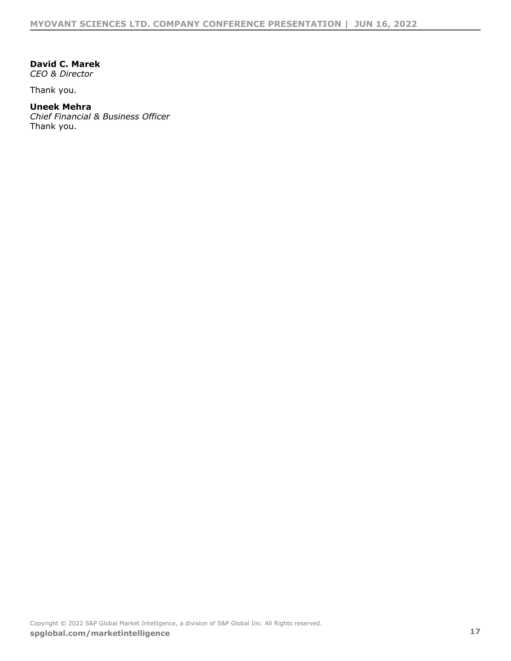| "<br>$\star$ |        |
|--------------|--------|
|              | " 8 (' |

- $\$\$ 8!
- $+$  ( (  $'$  ) ( / & "
- $\updownarrow$  8!